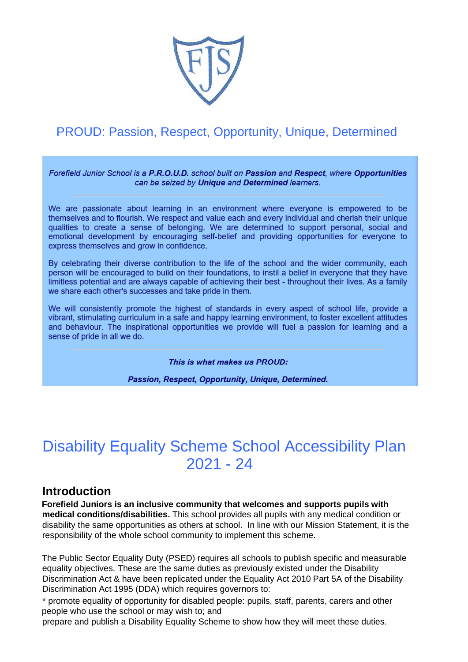

## PROUD: Passion, Respect, Opportunity, Unique, Determined

Forefield Junior School is a P.R.O.U.D. school built on Passion and Respect, where Opportunities can be seized by Unique and Determined learners.

We are passionate about learning in an environment where everyone is empowered to be themselves and to flourish. We respect and value each and every individual and cherish their unique qualities to create a sense of belonging. We are determined to support personal, social and emotional development by encouraging self-belief and providing opportunities for everyone to express themselves and grow in confidence.

By celebrating their diverse contribution to the life of the school and the wider community, each person will be encouraged to build on their foundations, to instil a belief in everyone that they have limitless potential and are always capable of achieving their best - throughout their lives. As a family we share each other's successes and take pride in them.

We will consistently promote the highest of standards in every aspect of school life, provide a vibrant, stimulating curriculum in a safe and happy learning environment, to foster excellent attitudes and behaviour. The inspirational opportunities we provide will fuel a passion for learning and a sense of pride in all we do.

This is what makes us PROUD:

Passion, Respect, Opportunity, Unique, Determined.

## Disability Equality Scheme School Accessibility Plan 2021 - 24

## **Introduction**

**Forefield Juniors is an inclusive community that welcomes and supports pupils with medical conditions/disabilities.** This school provides all pupils with any medical condition or disability the same opportunities as others at school. In line with our Mission Statement, it is the responsibility of the whole school community to implement this scheme.

The Public Sector Equality Duty (PSED) requires all schools to publish specific and measurable equality objectives. These are the same duties as previously existed under the Disability Discrimination Act & have been replicated under the Equality Act 2010 Part 5A of the Disability Discrimination Act 1995 (DDA) which requires governors to:

\* promote equality of opportunity for disabled people: pupils, staff, parents, carers and other people who use the school or may wish to; and

prepare and publish a Disability Equality Scheme to show how they will meet these duties.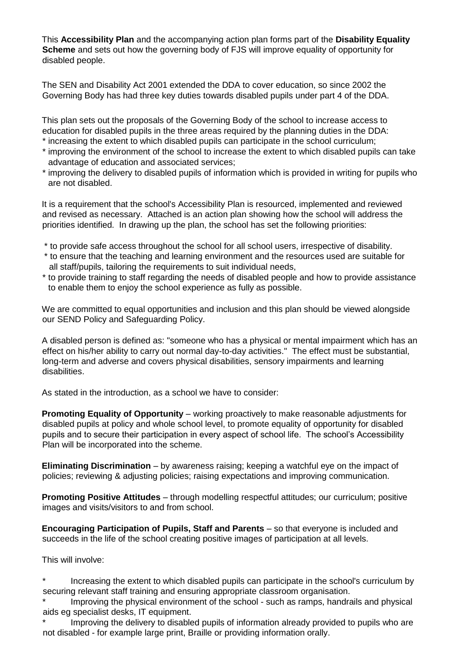This **Accessibility Plan** and the accompanying action plan forms part of the **Disability Equality Scheme** and sets out how the governing body of FJS will improve equality of opportunity for disabled people.

The SEN and Disability Act 2001 extended the DDA to cover education, so since 2002 the Governing Body has had three key duties towards disabled pupils under part 4 of the DDA.

This plan sets out the proposals of the Governing Body of the school to increase access to education for disabled pupils in the three areas required by the planning duties in the DDA:

- \* increasing the extent to which disabled pupils can participate in the school curriculum;
- \* improving the environment of the school to increase the extent to which disabled pupils can take advantage of education and associated services;
- \* improving the delivery to disabled pupils of information which is provided in writing for pupils who are not disabled.

It is a requirement that the school's Accessibility Plan is resourced, implemented and reviewed and revised as necessary. Attached is an action plan showing how the school will address the priorities identified. In drawing up the plan, the school has set the following priorities:

- \* to provide safe access throughout the school for all school users, irrespective of disability.
- \* to ensure that the teaching and learning environment and the resources used are suitable for all staff/pupils, tailoring the requirements to suit individual needs,
- \* to provide training to staff regarding the needs of disabled people and how to provide assistance to enable them to enjoy the school experience as fully as possible.

We are committed to equal opportunities and inclusion and this plan should be viewed alongside our SEND Policy and Safeguarding Policy.

A disabled person is defined as: "someone who has a physical or mental impairment which has an effect on his/her ability to carry out normal day-to-day activities." The effect must be substantial, long-term and adverse and covers physical disabilities, sensory impairments and learning disabilities.

As stated in the introduction, as a school we have to consider:

**Promoting Equality of Opportunity** – working proactively to make reasonable adjustments for disabled pupils at policy and whole school level, to promote equality of opportunity for disabled pupils and to secure their participation in every aspect of school life. The school's Accessibility Plan will be incorporated into the scheme.

**Eliminating Discrimination** – by awareness raising; keeping a watchful eye on the impact of policies; reviewing & adjusting policies; raising expectations and improving communication.

**Promoting Positive Attitudes** – through modelling respectful attitudes; our curriculum; positive images and visits/visitors to and from school.

**Encouraging Participation of Pupils, Staff and Parents** – so that everyone is included and succeeds in the life of the school creating positive images of participation at all levels.

This will involve:

- Increasing the extent to which disabled pupils can participate in the school's curriculum by securing relevant staff training and ensuring appropriate classroom organisation.
- Improving the physical environment of the school such as ramps, handrails and physical aids eg specialist desks, IT equipment.
- Improving the delivery to disabled pupils of information already provided to pupils who are not disabled - for example large print, Braille or providing information orally.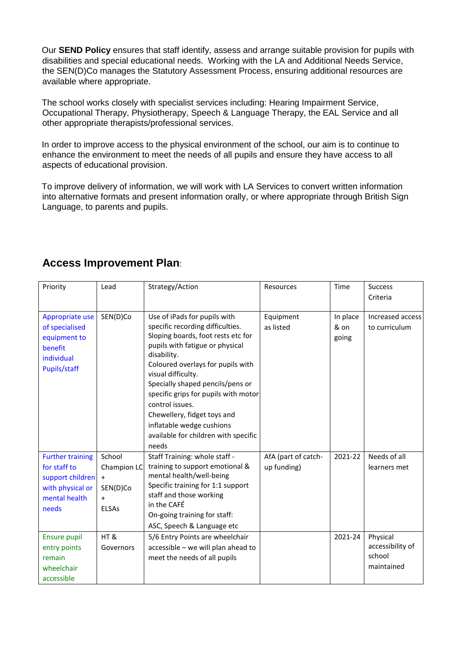Our **SEND Policy** ensures that staff identify, assess and arrange suitable provision for pupils with disabilities and special educational needs. Working with the LA and Additional Needs Service, the SEN(D)Co manages the Statutory Assessment Process, ensuring additional resources are available where appropriate.

The school works closely with specialist services including: Hearing Impairment Service, Occupational Therapy, Physiotherapy, Speech & Language Therapy, the EAL Service and all other appropriate therapists/professional services.

In order to improve access to the physical environment of the school, our aim is to continue to enhance the environment to meet the needs of all pupils and ensure they have access to all aspects of educational provision.

To improve delivery of information, we will work with LA Services to convert written information into alternative formats and present information orally, or where appropriate through British Sign Language, to parents and pupils.

| Priority                                                                                                  | Lead                                                                  | Strategy/Action                                                                                                                                                                                                                                                                                                                                                                                                                 | Resources                          | Time                      | <b>Success</b><br>Criteria                           |
|-----------------------------------------------------------------------------------------------------------|-----------------------------------------------------------------------|---------------------------------------------------------------------------------------------------------------------------------------------------------------------------------------------------------------------------------------------------------------------------------------------------------------------------------------------------------------------------------------------------------------------------------|------------------------------------|---------------------------|------------------------------------------------------|
| Appropriate use<br>of specialised<br>equipment to<br>benefit<br>individual<br>Pupils/staff                | SEN(D)Co                                                              | Use of iPads for pupils with<br>specific recording difficulties.<br>Sloping boards, foot rests etc for<br>pupils with fatigue or physical<br>disability.<br>Coloured overlays for pupils with<br>visual difficulty.<br>Specially shaped pencils/pens or<br>specific grips for pupils with motor<br>control issues.<br>Chewellery, fidget toys and<br>inflatable wedge cushions<br>available for children with specific<br>needs | Equipment<br>as listed             | In place<br>& on<br>going | Increased access<br>to curriculum                    |
| <b>Further training</b><br>for staff to<br>support children<br>with physical or<br>mental health<br>needs | School<br>Champion LC<br>$+$<br>SEN(D)Co<br>$\ddot{}$<br><b>ELSAs</b> | Staff Training: whole staff -<br>training to support emotional &<br>mental health/well-being<br>Specific training for 1:1 support<br>staff and those working<br>in the CAFÉ<br>On-going training for staff:<br>ASC, Speech & Language etc                                                                                                                                                                                       | AfA (part of catch-<br>up funding) | 2021-22                   | Needs of all<br>learners met                         |
| <b>Ensure pupil</b><br>entry points<br>remain<br>wheelchair<br>accessible                                 | HT&<br>Governors                                                      | 5/6 Entry Points are wheelchair<br>accessible - we will plan ahead to<br>meet the needs of all pupils                                                                                                                                                                                                                                                                                                                           |                                    | 2021-24                   | Physical<br>accessibility of<br>school<br>maintained |

## **Access Improvement Plan**: